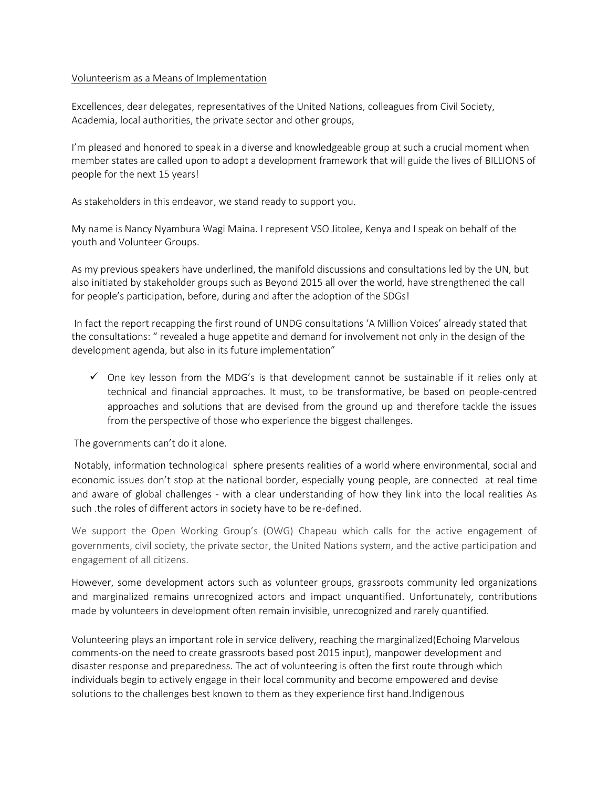## Volunteerism as a Means of Implementation

Excellences, dear delegates, representatives of the United Nations, colleagues from Civil Society, Academia, local authorities, the private sector and other groups,

I'm pleased and honored to speak in a diverse and knowledgeable group at such a crucial moment when member states are called upon to adopt a development framework that will guide the lives of BILLIONS of people for the next 15 years!

As stakeholders in this endeavor, we stand ready to support you.

My name is Nancy Nyambura Wagi Maina. I represent VSO Jitolee, Kenya and I speak on behalf of the youth and Volunteer Groups.

As my previous speakers have underlined, the manifold discussions and consultations led by the UN, but also initiated by stakeholder groups such as Beyond 2015 all over the world, have strengthened the call for people's participation, before, during and after the adoption of the SDGs!

In fact the report recapping the first round of UNDG consultations 'A Million Voices' already stated that the consultations: " revealed a huge appetite and demand for involvement not only in the design of the development agenda, but also in its future implementation"

 $\checkmark$  One key lesson from the MDG's is that development cannot be sustainable if it relies only at technical and financial approaches. It must, to be transformative, be based on people-centred approaches and solutions that are devised from the ground up and therefore tackle the issues from the perspective of those who experience the biggest challenges.

The governments can't do it alone.

Notably, information technological sphere presents realities of a world where environmental, social and economic issues don't stop at the national border, especially young people, are connected at real time and aware of global challenges - with a clear understanding of how they link into the local realities As such .the roles of different actors in society have to be re-defined.

We support the Open Working Group's (OWG) Chapeau which calls for the active engagement of governments, civil society, the private sector, the United Nations system, and the active participation and engagement of all citizens.

However, some development actors such as volunteer groups, grassroots community led organizations and marginalized remains unrecognized actors and impact unquantified. Unfortunately, contributions made by volunteers in development often remain invisible, unrecognized and rarely quantified.

Volunteering plays an important role in service delivery, reaching the marginalized(Echoing Marvelous comments-on the need to create grassroots based post 2015 input), manpower development and disaster response and preparedness. The act of volunteering is often the first route through which individuals begin to actively engage in their local community and become empowered and devise solutions to the challenges best known to them as they experience first hand.Indigenous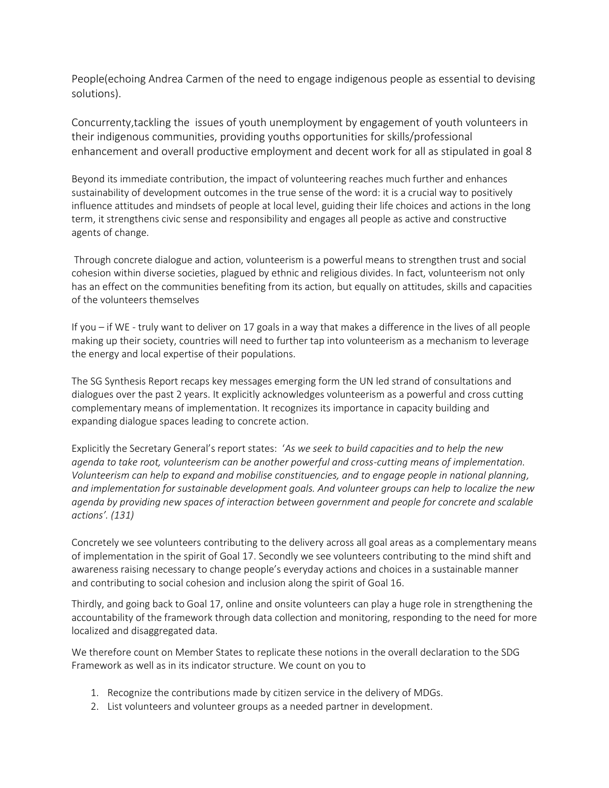People(echoing Andrea Carmen of the need to engage indigenous people as essential to devising solutions).

Concurrenty,tackling the issues of youth unemployment by engagement of youth volunteers in their indigenous communities, providing youths opportunities for skills/professional enhancement and overall productive employment and decent work for all as stipulated in goal 8

Beyond its immediate contribution, the impact of volunteering reaches much further and enhances sustainability of development outcomes in the true sense of the word: it is a crucial way to positively influence attitudes and mindsets of people at local level, guiding their life choices and actions in the long term, it strengthens civic sense and responsibility and engages all people as active and constructive agents of change.

Through concrete dialogue and action, volunteerism is a powerful means to strengthen trust and social cohesion within diverse societies, plagued by ethnic and religious divides. In fact, volunteerism not only has an effect on the communities benefiting from its action, but equally on attitudes, skills and capacities of the volunteers themselves

If you – if WE - truly want to deliver on 17 goals in a way that makes a difference in the lives of all people making up their society, countries will need to further tap into volunteerism as a mechanism to leverage the energy and local expertise of their populations.

The SG Synthesis Report recaps key messages emerging form the UN led strand of consultations and dialogues over the past 2 years. It explicitly acknowledges volunteerism as a powerful and cross cutting complementary means of implementation. It recognizes its importance in capacity building and expanding dialogue spaces leading to concrete action.

Explicitly the Secretary General's report states: '*As we seek to build capacities and to help the new agenda to take root, volunteerism can be another powerful and cross-cutting means of implementation. Volunteerism can help to expand and mobilise constituencies, and to engage people in national planning, and implementation for sustainable development goals. And volunteer groups can help to localize the new agenda by providing new spaces of interaction between government and people for concrete and scalable actions'. (131)* 

Concretely we see volunteers contributing to the delivery across all goal areas as a complementary means of implementation in the spirit of Goal 17. Secondly we see volunteers contributing to the mind shift and awareness raising necessary to change people's everyday actions and choices in a sustainable manner and contributing to social cohesion and inclusion along the spirit of Goal 16.

Thirdly, and going back to Goal 17, online and onsite volunteers can play a huge role in strengthening the accountability of the framework through data collection and monitoring, responding to the need for more localized and disaggregated data.

We therefore count on Member States to replicate these notions in the overall declaration to the SDG Framework as well as in its indicator structure. We count on you to

- 1. Recognize the contributions made by citizen service in the delivery of MDGs.
- 2. List volunteers and volunteer groups as a needed partner in development.